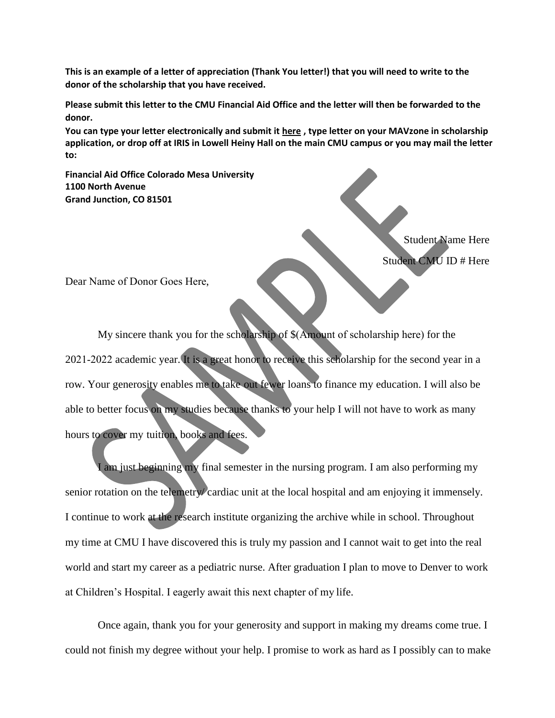**This is an example of a letter of appreciation (Thank You letter!) that you will need to write to the donor of the scholarship that you have received.**

**Please submit this letter to the CMU Financial Aid Office and the letter will then be forwarded to the donor.**

**You can type your letter electronically and submit it [here](https://forms.coloradomesa.edu/#/form/108) , type letter on your MAVzone in scholarship application, or drop off at IRIS in Lowell Heiny Hall on the main CMU campus or you may mail the letter to:**

**Financial Aid Office Colorado Mesa University 1100 North Avenue Grand Junction, CO 81501**

> Student Name Here Student CMU ID # Here

Dear Name of Donor Goes Here,

My sincere thank you for the scholarship of \$(Amount of scholarship here) for the 2021-2022 academic year. It is a great honor to receive this scholarship for the second year in a row. Your generosity enables me to take out fewer loans to finance my education. I will also be able to better focus on my studies because thanks to your help I will not have to work as many hours to cover my tuition, books and fees.

I am just beginning my final semester in the nursing program. I am also performing my senior rotation on the telemetry/ cardiac unit at the local hospital and am enjoying it immensely. I continue to work at the research institute organizing the archive while in school. Throughout my time at CMU I have discovered this is truly my passion and I cannot wait to get into the real world and start my career as a pediatric nurse. After graduation I plan to move to Denver to work at Children's Hospital. I eagerly await this next chapter of my life.

Once again, thank you for your generosity and support in making my dreams come true. I could not finish my degree without your help. I promise to work as hard as I possibly can to make